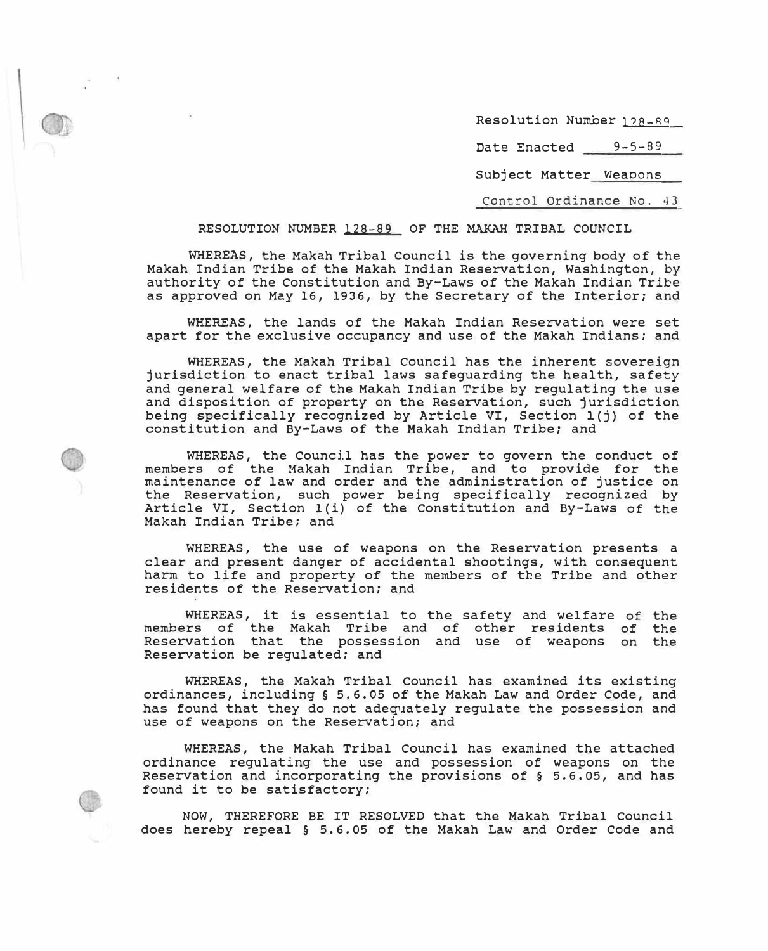Resolution Number 128-89

Date Enacted 9-5-89

Subject Matter Weapons

Control Ordinance No. 43

# RESOLUTION NUMBER 128-89 OF THE MAKAH TRIBAL COUNCIL

WHEREAS, the Makah Tribal council is the governing body of the Makah Indian Tribe of the Makah Indian Reservation, Washington, by authority of the Constitution and By-Laws of the Makah Indian Tribe as approved on May 16, 1936, by the Secretary of the Interior; and

WHEREAS, the lands of the Makah Indian Reservation were set apart for the exclusive occupancy and use of the Makah Indians; and

WHEREAS, the Makah Tribal Council has the inherent sovereign jurisdiction to enact tribal laws safeguarding the health, safety and general welfare of the Makah Indian Tribe by regulating the use and disposition of property on the Reservation, such jurisdiction being specifically recognized by Article VI, Section l(j) of the constitution and By-Laws of the Makah Indian Tribe; and

WHEREAS, the Council has the power to govern the conduct of members of the Makah Indian Tribe, and to provide for the maintenance of law and order and the administration of justice on the Reservation, such power being specifically recognized by Article VI, Section l(i) of the Constitution and By-Laws of the Makah Indian Tribe; and

WHEREAS, the use of weapons on the Reservation presents a clear and present danger of accidental shootings, with consequent harm to life and property of the members of the Tribe and other residents of the Reservation; and

WHEREAS, it is essential to the safety and welfare of the members of the Makah Tribe and of other residents Reservation that the possession and use of weapons Reservation be regulated; and of the on the

WHEREAS, the Makah Tribal Council has examined its existing ordinances, including§ 5.6.05 of the Makah Law and Order Code, and has found that they do not adequately regulate the possession and use of weapons on the Reservation; and

WHEREAS, the Makah Tribal Council has examined the attached ordinance regulating the use and possession of weapons on the Reservation and incorporating the provisions of§ 5.6.05, and has found it to be satisfactory;

**NOW,** THEREFORE BE IT RESOLVED that the Makah Tribal Council does hereby repeal§ 5.6.05 of the Makah Law and Order Code and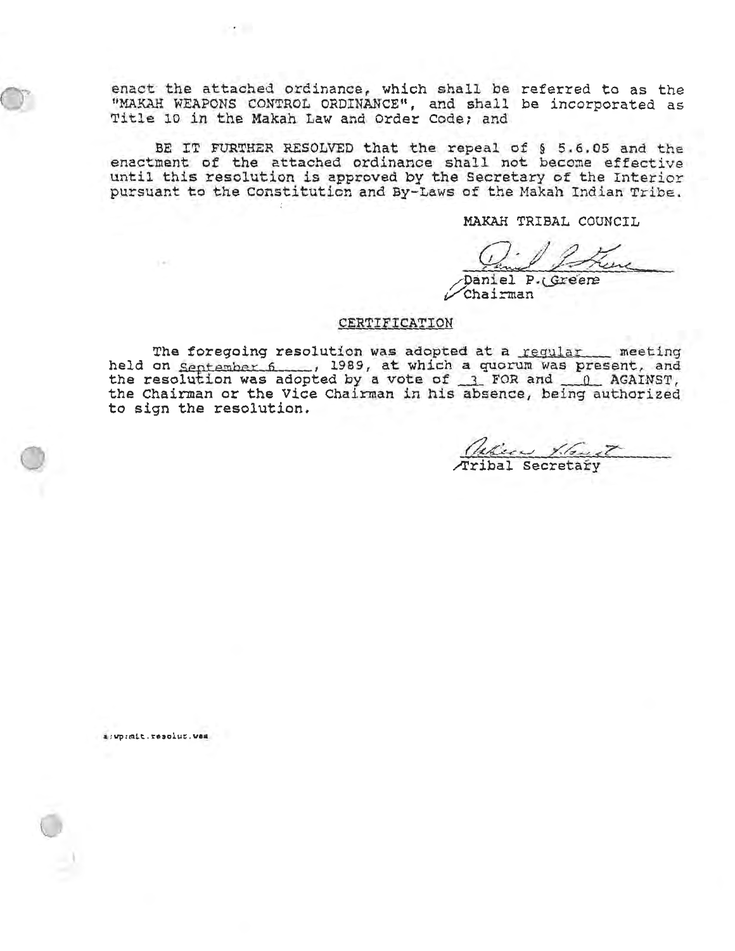enact the attached ordinance, which shall be referred to as the "MAKAH WEAPONS CONTROL ORDINANCE", and shall be incorporated as Title 10 in the Makah Law and Order Code; and

**COLLEGE** 

BE IT FURTHER RESOLVED that the repeal of § 5.6.05 and the enactment of the attached ordinance shall not become effective until this resolution is approved by the Secretary of the Interior pursuant to the Constitution and By-Laws of the Makah Indian Tribe.

MAKAH TRIBAL COUNCIL

Daniel P.(Greene Chairman

## CERTIFICATION

The foregoing resolution was adopted at a regular meeting the Chairman or the Vice Chairman in his absence, being authorized to sign the resolution.

Vehica X. Gust

a: wp:mit.resolut.wem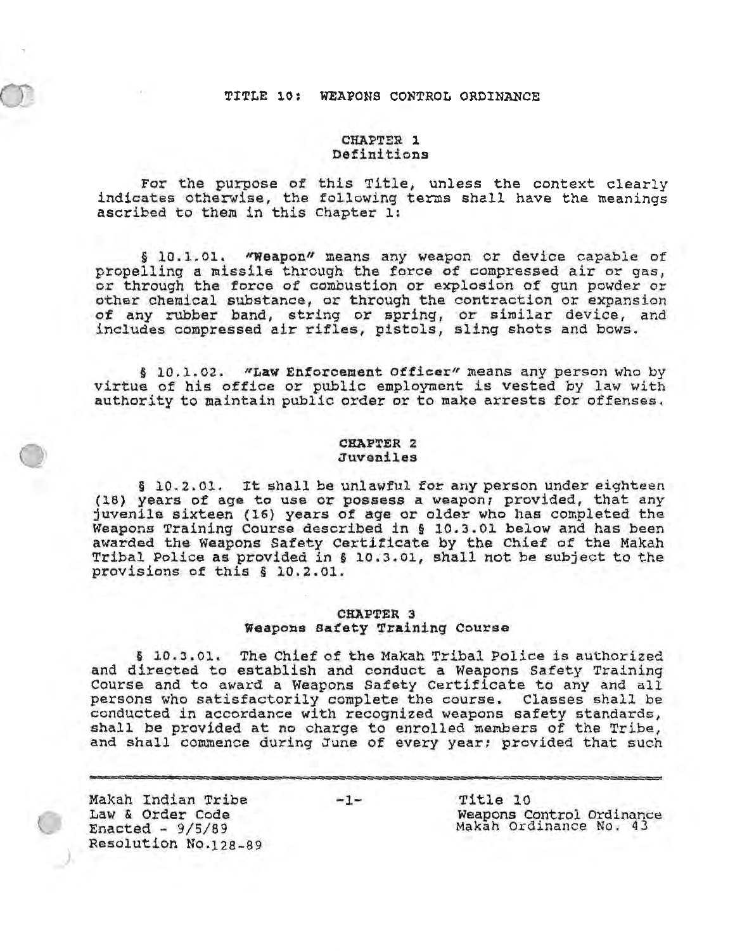# TITLE 10: WEAPONS CONTROL ORDINANCE

# **CHAPTER 1** Definitions

For the purpose of this Title, unless the context clearly indicates otherwise, the following terms shall have the meanings ascribed to them in this Chapter 1:

§ 10.1.01. "Weapon" means any weapon or device capable of propelling a missile through the force of compressed air or gas, or through the force of combustion or explosion of gun powder or other chemical substance, or through the contraction or expansion of any rubber band, string or spring, or similar device, and includes compressed air rifles, pistols, sling shots and bows.

§ 10.1.02. "Law Enforcement Officer" means any person who by virtue of his office or public employment is vested by law with authority to maintain public order or to make arrests for offenses.

# CHAPTER 2 Juveniles

§ 10.2.01. It shall be unlawful for any person under eighteen (18) years of age to use or possess a weapon; provided, that any juvenile sixteen (16) years of age or older who has completed the Weapons Training Course described in § 10.3.01 below and has been awarded the Weapons Safety Certificate by the Chief of the Makah Tribal Police as provided in § 10.3.01, shall not be subject to the provisions of this § 10.2.01.

# **CHAPTER 3** Weapons Safety Training Course

§ 10.3.01. The Chief of the Makah Tribal Police is authorized and directed to establish and conduct a Weapons Safety Training Course and to award a Weapons Safety Certificate to any and all persons who satisfactorily complete the course. Classes shall be conducted in accordance with recognized weapons safety standards, shall be provided at no charge to enrolled members of the Tribe, and shall commence during June of every year; provided that such

Makah Indian Tribe Law & Order Code Enacted -  $9/5/89$ Resolution No.128-89

 $-1-$ 

Title 10 Weapons Control Ordinance Makah Ordinance No. 43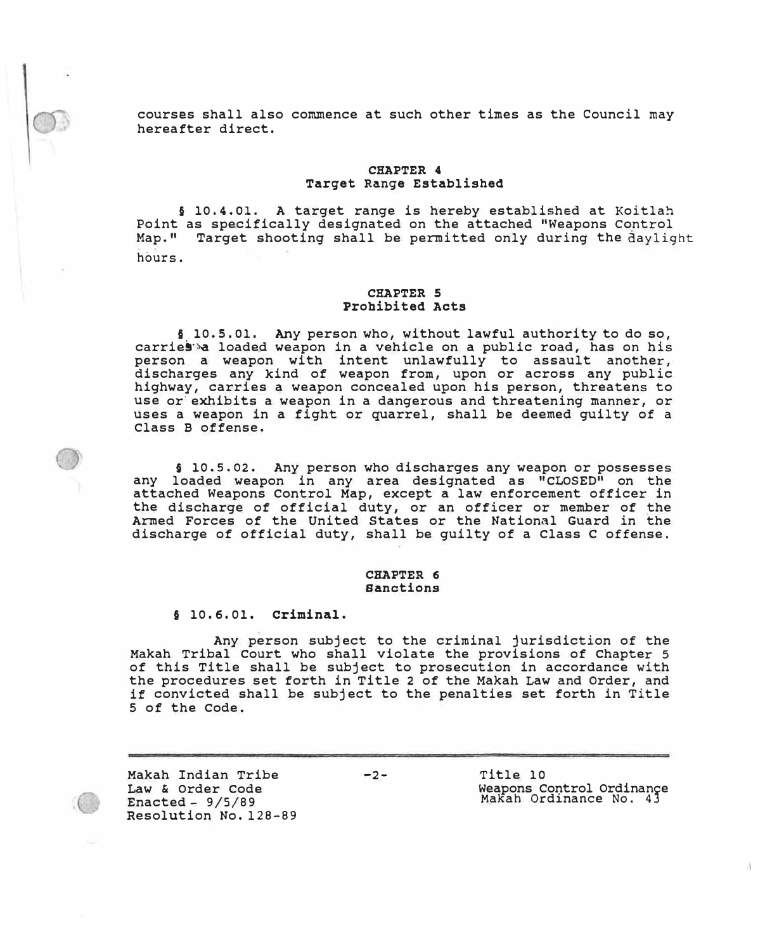courses shall also commence at such other times as the Council may hereafter direct.

# **CHAPTER 4 Target Range Established**

§ 10.4.01. A target range is hereby established at Koitlah Point as specifically designated on the attached "Weapons control Map." Target shooting shall be permitted only during the daylight hours.

# **CHAPTER 5 Prohibited Acts**

§ 10,5.01. Any person who, without lawful authority to do so, carries a loaded weapon in a vehicle on a public road, has on his person a weapon with intent unlawfully to assault another, discharges any kind of weapon from, upon or across any public highway, carries a weapon concealed upon his person, threatens to use or exhibits a weapon in a dangerous and threatening manner, or uses a weapon in a fight or quarrel, shall be deemed guilty of a Class B offense.

**§** 10.s.02. Any person who discharges any weapon or possesses any loaded weapon in any area designated as "CLOSED" on the attached Weapons Control Map, except a law enforcement officer in the discharge of official duty, or an officer or member of the Armed Forces of the United States or the National Guard in the discharge of official duty, shall be guilty of a Class c offense.

# **CHAPTER 6 Sanctions**

§ 10,6,0l. **criminal.** 

Any person subject to the criminal jurisdiction of the Makah Tribal Court who shall violate the provisions of Chapter 5 of this Title shall be subject to prosecution in accordance with the procedures set forth in Title 2 of the Makah Law and Order, and if convicted shall be subject to the penalties set forth in Title 5 of the Code.

Makah Indian Tribe Law & Order Code Enacted - 9/5/89 Resolution No. 128-89 -2- Title 10 Weapons Control Ordinance MaKah Ordinance No. 43

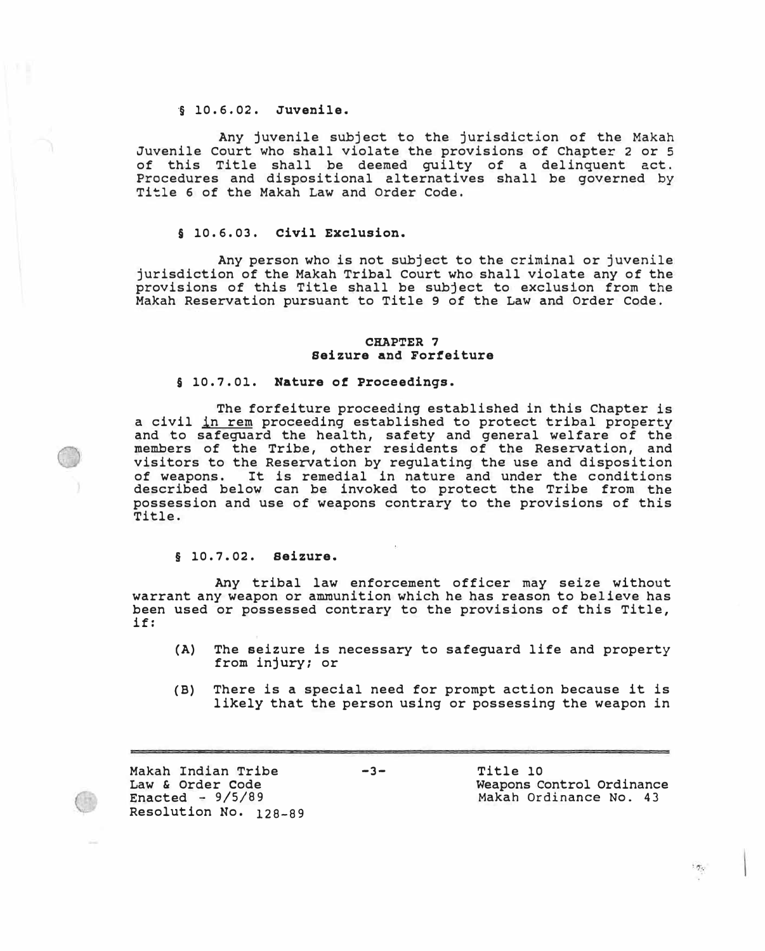# ·§ 10. 6. 02. **Juvenile.**

Any juvenile subject to the jurisdiction of the Makah Juvenile Court who shall violate the provisions of Chapter 2 or 5 of this Title shall be deemed guilty of a delinquent act. Procedures and dispositional alternatives shall be governed by Title 6 of the Makah Law and Order Code.

# § 10.6.03. **Civil Exclusion.**

Any person who is not subject to the criminal or juvenile jurisdiction of the Makah Tribal Court who shall violate any of the provisions of this Title shall be subject to exclusion from the Makah Reservation pursuant to Title 9 of the Law and Order Code.

### **CRAFTER 7 seizure and Forfeiture**

### § 10.7.0l. **Nature** of **Proceedings.**

The forfeiture proceeding established in this Chapter is a civil in rem proceeding established to protect tribal property and to safeguard the health, safety and general welfare of the members of the Tribe, other residents of the Reservation, and visitors to the Reservation by regulating the use and disposition of weapons. It is remedial in nature and under the conditions described below can be invoked to protect the Tribe from the possession and use of weapons contrary to the provisions of this Title.

# **§** 10.7.02. **Seizure.**

Any tribal law enforcement officer may seize without warrant any weapon or ammunition which he has reason to believe has been used or possessed contrary to the provisions of this Title, if:

- (A) The seizure is necessary to safeguard life and property from injury; or
- (B) There is a special need for prompt action because it is likely that the person using or possessing the weapon in

Makah Indian Tribe Law & Order Code Enacted -  $9/5/89$ Resolution No. 128-89

-3- Title 10 Weapons Control Ordinance Makah Ordinance No. 43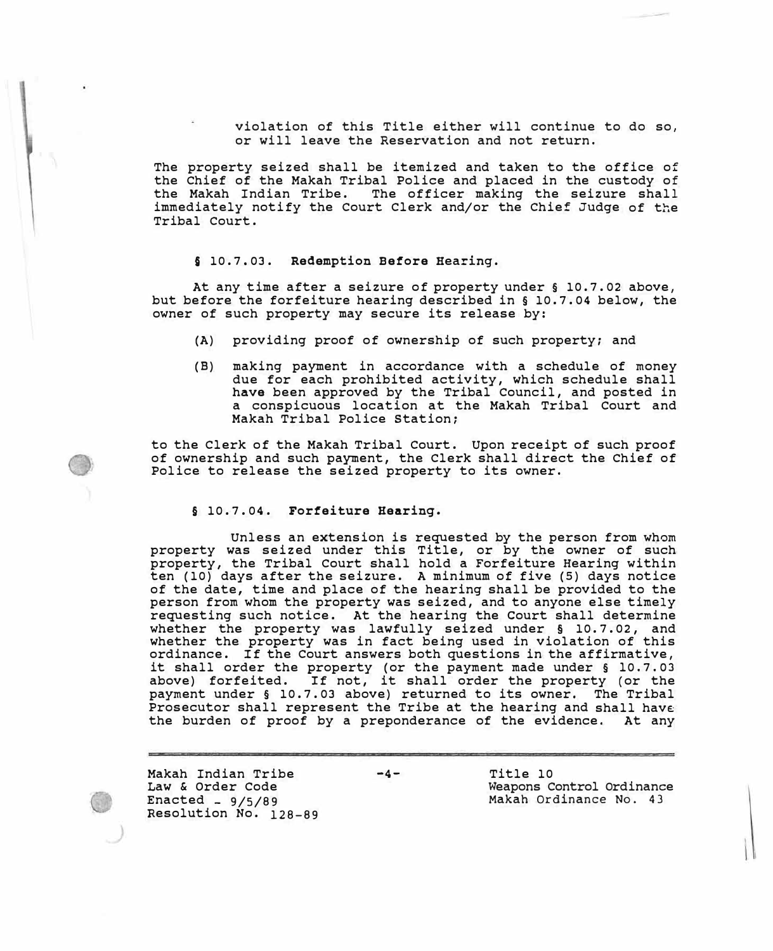violation of this Title either will continue to do so, or will leave the Reservation and not return.

The property seized shall be itemized and taken to the office of the Chief of the Makah Tribal Police and placed in the custody of the Makah Indian Tribe. The officer making the seizure shall immediately notify the Court Clerk and/or the Chief Judge of the Tribal Court.

#### § 10.7.03. **Redemption Before** Hearing.

At any time after a seizure of property under§ 10.7.02 above, but before the forfeiture hearing described in§ 10.7.04 below, the owner of such property may secure its release by:

- (A) providing proof of ownership of such property; and
- (B) making payment in accordance with a schedule of money due for each prohibited activity, which schedule shall **have** been approved by the Tribal Council, and posted in a conspicuous location at the Makah Tribal Court and Makah Tribal Police Station;

to the Clerk of the Makah Tribal Court. Upon receipt of such proof of ownership and such payment, the Clerk shall direct the Chief of Police to release the seized property to its owner.

# **§** 10.7.04. **Forfeiture Hearing.**

Unless an extension is requested by the person from whom property was seized under this Title, or by the owner of such property, the Tribal Court shall hold a Forfeiture Hearing within ten (10) days after the seizure. A minimum of five (5) days notice of the date, time and place of the hearing shall be provided to the person from whom the property was seized, and to anyone else timely requesting such notice. At the hearing the court shall determine whether the property was lawfully seized under **§** 10. 7. 02, and whether the property was in fact being used in violation of this ordinance. If the Court answers both questions in the affirmative, it shall order the property (or the payment made under § l0.7.03 above) forfeited. If not, it shall order the property (or the payment under§ 10.7.03 above) returned to its owner, The Tribal Prosecutor shall represent the Tribe at the hearing and shall have the burden of proof by a preponderance of the evidence. At any

Makah Indian Tribe Law & order Code  $Enacted =  $9/5/89$$ Resolution No. 128-89 -4- Title 10 Weapons Control Ordinance Makah Ordinance No. 43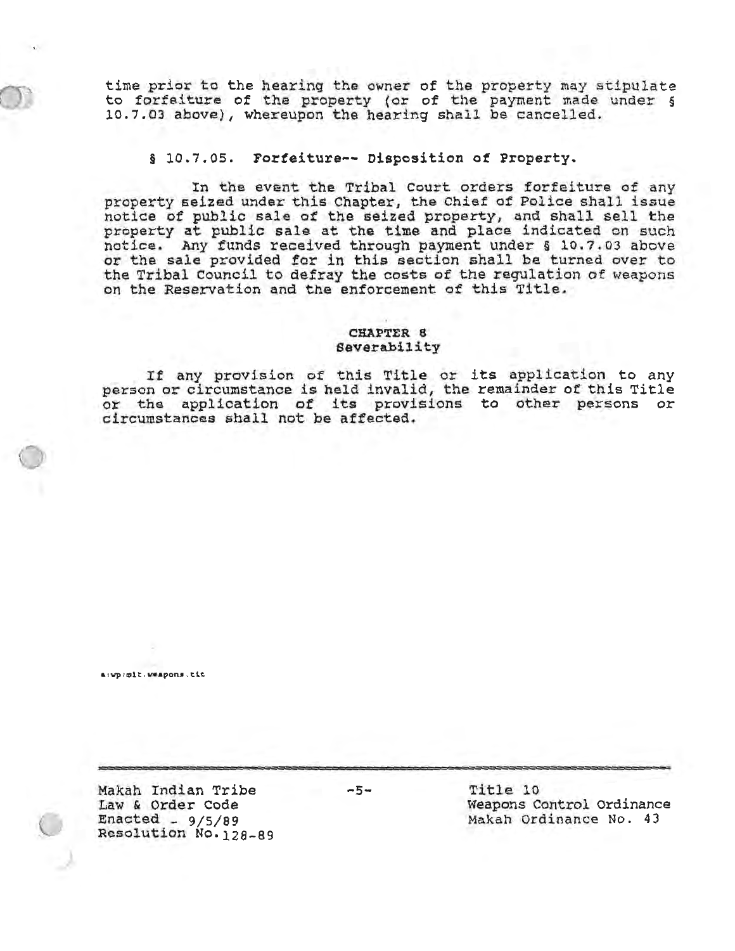time prior to the hearing the owner of the property may stipulate<br>to forfeiture of the property (or of the payment made under § 10.7.03 above), whereupon the hearing shall be cancelled.

#### § 10.7.05. Forfeiture -- Disposition of Property.

In the event the Tribal Court orders forfeiture of any property seized under this Chapter, the Chief of Police shall issue notice of public sale of the seized property, and shall sell the property at public sale at the time and place indicated on such notice. Any funds received through payment under § 10.7.03 above or the sale provided for in this section shall be turned over to the Tribal Council to defray the costs of the regulation of weapons on the Reservation and the enforcement of this Title.

### **CHAPTER 8** Severability

If any provision of this Title or its application to any person or circumstance is held invalid, the remainder of this Title or the application of its provisions to other persons or circumstances shall not be affected.

a:vp:mit.weapons.tit

Makah Indian Tribe Law & Order Code Enacted -  $9/5/89$ Resolution No. 128-89  $-5-$ 

Title 10 Weapons Control Ordinance Makah Ordinance No. 43